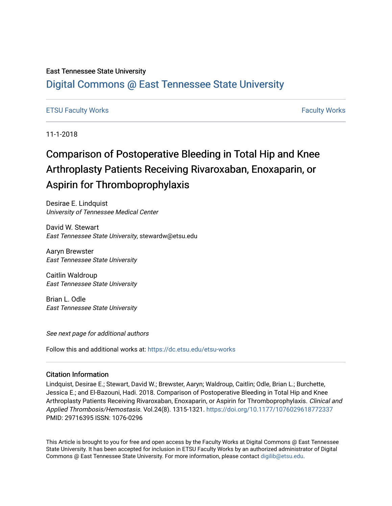### East Tennessee State University

# [Digital Commons @ East Tennessee State University](https://dc.etsu.edu/)

### [ETSU Faculty Works](https://dc.etsu.edu/etsu-works) [Faculty Works](https://dc.etsu.edu/faculty-works)

11-1-2018

# Comparison of Postoperative Bleeding in Total Hip and Knee Arthroplasty Patients Receiving Rivaroxaban, Enoxaparin, or Aspirin for Thromboprophylaxis

Desirae E. Lindquist University of Tennessee Medical Center

David W. Stewart East Tennessee State University, stewardw@etsu.edu

Aaryn Brewster East Tennessee State University

Caitlin Waldroup East Tennessee State University

Brian L. Odle East Tennessee State University

See next page for additional authors

Follow this and additional works at: [https://dc.etsu.edu/etsu-works](https://dc.etsu.edu/etsu-works?utm_source=dc.etsu.edu%2Fetsu-works%2F10193&utm_medium=PDF&utm_campaign=PDFCoverPages) 

#### Citation Information

Lindquist, Desirae E.; Stewart, David W.; Brewster, Aaryn; Waldroup, Caitlin; Odle, Brian L.; Burchette, Jessica E.; and El-Bazouni, Hadi. 2018. Comparison of Postoperative Bleeding in Total Hip and Knee Arthroplasty Patients Receiving Rivaroxaban, Enoxaparin, or Aspirin for Thromboprophylaxis. Clinical and Applied Thrombosis/Hemostasis. Vol.24(8). 1315-1321. <https://doi.org/10.1177/1076029618772337> PMID: 29716395 ISSN: 1076-0296

This Article is brought to you for free and open access by the Faculty Works at Digital Commons @ East Tennessee State University. It has been accepted for inclusion in ETSU Faculty Works by an authorized administrator of Digital Commons @ East Tennessee State University. For more information, please contact [digilib@etsu.edu.](mailto:digilib@etsu.edu)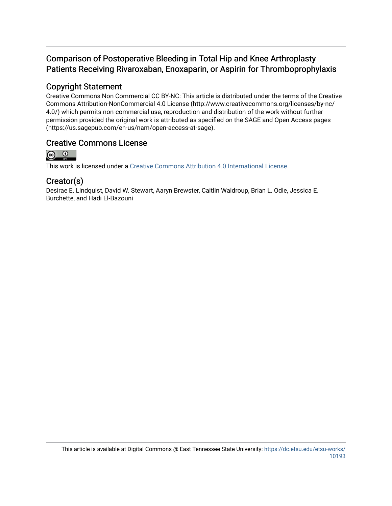# Comparison of Postoperative Bleeding in Total Hip and Knee Arthroplasty Patients Receiving Rivaroxaban, Enoxaparin, or Aspirin for Thromboprophylaxis

## Copyright Statement

Creative Commons Non Commercial CC BY-NC: This article is distributed under the terms of the Creative Commons Attribution-NonCommercial 4.0 License (http://www.creativecommons.org/licenses/by-nc/ 4.0/) which permits non-commercial use, reproduction and distribution of the work without further permission provided the original work is attributed as specified on the SAGE and Open Access pages (https://us.sagepub.com/en-us/nam/open-access-at-sage).

## Creative Commons License



This work is licensed under a [Creative Commons Attribution 4.0 International License.](https://creativecommons.org/licenses/by/4.0/)

### Creator(s)

Desirae E. Lindquist, David W. Stewart, Aaryn Brewster, Caitlin Waldroup, Brian L. Odle, Jessica E. Burchette, and Hadi El-Bazouni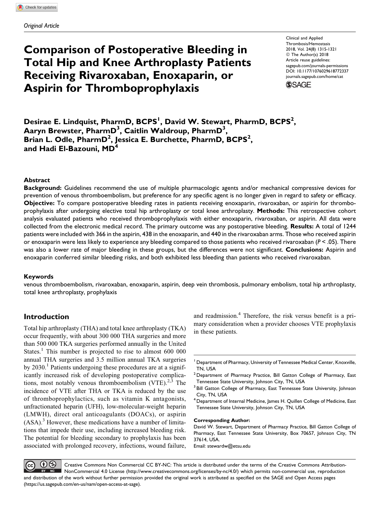Original Article

# Comparison of Postoperative Bleeding in Total Hip and Knee Arthroplasty Patients Receiving Rivaroxaban, Enoxaparin, or Aspirin for Thromboprophylaxis

Clinical and Applied Thrombosis/Hemostasis 2018, Vol. 24(8) 1315-1321 © The Author(s) 2018 Article reuse guidelines: [sagepub.com/journals-permissions](https://sagepub.com/journals-permissions) [DOI: 10.1177/1076029618772337](https://doi.org/10.1177/1076029618772337) [journals.sagepub.com/home/cat](http://journals.sagepub.com/home/cat)

**SSAGE** 

Desirae E. Lindquist, PharmD, BCPS<sup>1</sup>, David W. Stewart, PharmD, BCPS<sup>2</sup>, Aaryn Brewster, PharmD $^3$ , Caitlin Waldroup, PharmD $^3\!$ Brian L. Odle, PharmD<sup>2</sup>, Jessica E. Burchette, PharmD, BCPS<sup>2</sup>, and Hadi El-Bazouni, MD<sup>4</sup>

#### Abstract

Background: Guidelines recommend the use of multiple pharmacologic agents and/or mechanical compressive devices for prevention of venous thromboembolism, but preference for any specific agent is no longer given in regard to safety or efficacy. Objective: To compare postoperative bleeding rates in patients receiving enoxaparin, rivaroxaban, or aspirin for thromboprophylaxis after undergoing elective total hip arthroplasty or total knee arthroplasty. Methods: This retrospective cohort analysis evaluated patients who received thromboprophylaxis with either enoxaparin, rivaroxaban, or aspirin. All data were collected from the electronic medical record. The primary outcome was any postoperative bleeding. Results: A total of 1244 patients were included with 366 in the aspirin, 438 in the enoxaparin, and 440 in the rivaroxaban arms. Those who received aspirin or enoxaparin were less likely to experience any bleeding compared to those patients who received rivaroxaban ( $P < .05$ ). There was also a lower rate of major bleeding in these groups, but the differences were not significant. Conclusions: Aspirin and enoxaparin conferred similar bleeding risks, and both exhibited less bleeding than patients who received rivaroxaban.

#### Keywords

venous thromboembolism, rivaroxaban, enoxaparin, aspirin, deep vein thrombosis, pulmonary embolism, total hip arthroplasty, total knee arthroplasty, prophylaxis

### Introduction

Total hip arthroplasty (THA) and total knee arthroplasty (TKA) occur frequently, with about 300 000 THA surgeries and more than 500 000 TKA surgeries performed annually in the United States.<sup>1</sup> This number is projected to rise to almost  $600\ 000$ annual THA surgeries and 3.5 million annual TKA surgeries by  $2030<sup>1</sup>$  Patients undergoing these procedures are at a significantly increased risk of developing postoperative complications, most notably venous thromboembolism  $(VTE)$ <sup>2,3</sup> The incidence of VTE after THA or TKA is reduced by the use of thromboprophylactics, such as vitamin K antagonists, unfractionated heparin (UFH), low-molecular-weight heparin (LMWH), direct oral anticoagulants (DOACs), or aspirin  $(ASA)$ <sup>3</sup>. However, these medications have a number of limitations that impede their use, including increased bleeding risk. The potential for bleeding secondary to prophylaxis has been associated with prolonged recovery, infections, wound failure,

and readmission.<sup>4</sup> Therefore, the risk versus benefit is a primary consideration when a provider chooses VTE prophylaxis in these patients.

#### Corresponding Author:

David W. Stewart, Department of Pharmacy Practice, Bill Gatton College of Pharmacy, East Tennessee State University, Box 70657, Johnson City, TN 37614, USA.

Email: [stewardw@etsu.edu](mailto:stewardw@etsu.edu)

 $\bigcirc$   $\bigcirc$ Creative Commons Non Commercial CC BY-NC: This article is distributed under the terms of the Creative Commons Attribution-(cc NonCommercial 4.0 License (<http://www.creativecommons.org/licenses/by-nc/4.0/>) which permits non-commercial use, reproduction and distribution of the work without further permission provided the original work is attributed as specified on the SAGE and Open Access pages [\(https://us.sagepub.com/en-us/nam/open-access-at-sage\)](https://us.sagepub.com/en-us/nam/open-access-at-sage).

<sup>&</sup>lt;sup>1</sup> Department of Pharmacy, University of Tennessee Medical Center, Knoxville, TN, USA

 $2$  Department of Pharmacy Practice, Bill Gatton College of Pharmacy, East Tennessee State University, Johnson City, TN, USA

<sup>&</sup>lt;sup>3</sup> Bill Gatton College of Pharmacy, East Tennessee State University, Johnson City, TN, USA

 $4$  Department of Internal Medicine, James H. Quillen College of Medicine, East Tennessee State University, Johnson City, TN, USA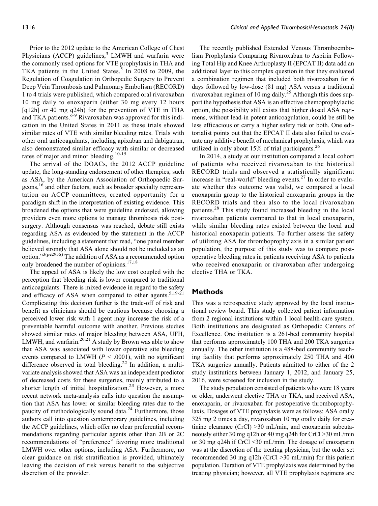Prior to the 2012 update to the American College of Chest Physicians (ACCP) guidelines, $3$  LMWH and warfarin were the commonly used options for VTE prophylaxis in THA and TKA patients in the United States.<sup>5</sup> In 2008 to 2009, the Regulation of Coagulation in Orthopedic Surgery to Prevent Deep Vein Thrombosis and Pulmonary Embolism (RECORD) 1 to 4 trials were published, which compared oral rivaroxaban 10 mg daily to enoxaparin (either 30 mg every 12 hours [q12h] or 40 mg q24h) for the prevention of VTE in THA and TKA patients.<sup>6-9</sup> Rivaroxaban was approved for this indication in the United States in 2011 as these trials showed similar rates of VTE with similar bleeding rates. Trials with other oral anticoagulants, including apixaban and dabigatran, also demonstrated similar efficacy with similar or decreased rates of major and minor bleeding.<sup>10-15</sup>

The arrival of the DOACs, the 2012 ACCP guideline update, the long-standing endorsement of other therapies, such as ASA, by the American Association of Orthopaedic Surgeons,<sup>16</sup> and other factors, such as broader specialty representation on ACCP committees, created opportunity for a paradigm shift in the interpretation of existing evidence. This broadened the options that were guideline endorsed, allowing providers even more options to manage thrombosis risk postsurgery. Although consensus was reached, debate still exists regarding ASA as evidenced by the statement in the ACCP guidelines, including a statement that read, "one panel member believed strongly that ASA alone should not be included as an option."3(pe295S) The addition of ASA as a recommended option only broadened the number of opinions.<sup>17,18</sup>

The appeal of ASA is likely the low cost coupled with the perception that bleeding risk is lower compared to traditional anticoagulants. There is mixed evidence in regard to the safety and efficacy of ASA when compared to other agents.<sup>5,19-21</sup> Complicating this decision further is the trade-off of risk and benefit as clinicians should be cautious because choosing a perceived lower risk with 1 agent may increase the risk of a preventable harmful outcome with another. Previous studies showed similar rates of major bleeding between ASA, UFH, LMWH, and warfarin.<sup>20,21</sup> A study by Brown was able to show that ASA was associated with lower operative site bleeding events compared to LMWH ( $P < .0001$ ), with no significant difference observed in total bleeding.<sup>22</sup> In addition, a multivariate analysis showed that ASA was an independent predictor of decreased costs for these surgeries, mainly attributed to a shorter length of initial hospitalization.<sup>23</sup> However, a more recent network meta-analysis calls into question the assumption that ASA has lower or similar bleeding rates due to the paucity of methodologically sound data. $^{24}$  Furthermore, those authors call into question contemporary guidelines, including the ACCP guidelines, which offer no clear preferential recommendations regarding particular agents other than 2B or 2C recommendations of "preference" favoring more traditional LMWH over other options, including ASA. Furthermore, no clear guidance on risk stratification is provided, ultimately leaving the decision of risk versus benefit to the subjective discretion of the provider.

The recently published Extended Venous Thromboembolism Prophylaxis Comparing Rivaroxaban to Aspirin Following Total Hip and Knee Arthroplasty II (EPCAT II) data add an additional layer to this complex question in that they evaluated a combination regimen that included both rivaroxaban for 6 days followed by low-dose (81 mg) ASA versus a traditional rivaroxaban regimen of 10 mg daily.25 Although this does support the hypothesis that ASA is an effective chemoprophylactic option, the possibility still exists that higher dosed ASA regimens, without lead-in potent anticoagulation, could be still be less efficacious or carry a higher safety risk or both. One editorialist points out that the EPCAT II data also failed to evaluate any additive benefit of mechanical prophylaxis, which was utilized in only about  $15\%$  of trial participants.<sup>26</sup>

In 2014, a study at our institution compared a local cohort of patients who received rivaroxaban to the historical RECORD trials and observed a statistically significant increase in "real-world" bleeding events. $^{27}$  In order to evaluate whether this outcome was valid, we compared a local enoxaparin group to the historical enoxaparin groups in the RECORD trials and then also to the local rivaroxaban patients.<sup>28</sup> This study found increased bleeding in the local rivaroxaban patients compared to that in local enoxaparin, while similar bleeding rates existed between the local and historical enoxaparin patients. To further assess the safety of utilizing ASA for thromboprophylaxis in a similar patient population, the purpose of this study was to compare postoperative bleeding rates in patients receiving ASA to patients who received enoxaparin or rivaroxaban after undergoing elective THA or TKA.

#### **Methods**

This was a retrospective study approved by the local institutional review board. This study collected patient information from 2 regional institutions within 1 local health-care system. Both institutions are designated as Orthopedic Centers of Excellence. One institution is a 261-bed community hospital that performs approximately 100 THA and 200 TKA surgeries annually. The other institution is a 488-bed community teaching facility that performs approximately 250 THA and 400 TKA surgeries annually. Patients admitted to either of the 2 study institutions between January 1, 2012, and January 25, 2016, were screened for inclusion in the study.

The study population consisted of patients who were 18 years or older, underwent elective THA or TKA, and received ASA, enoxaparin, or rivaroxaban for postoperative thromboprophylaxis. Dosages of VTE prophylaxis were as follows: ASA orally 325 mg 2 times a day, rivaroxaban 10 mg orally daily for creatinine clearance (CrCl) >30 mL/min, and enoxaparin subcutaneously either 30 mg q12h or 40 mg q24h for CrCl >30 mL/min or 30 mg q24h if CrCl <30 mL/min. The dosage of enoxaparin was at the discretion of the treating physician, but the order set recommended 30 mg q12h (CrCl >30 mL/min) for this patient population. Duration of VTE prophylaxis was determined by the treating physician; however, all VTE prophylaxis regimens are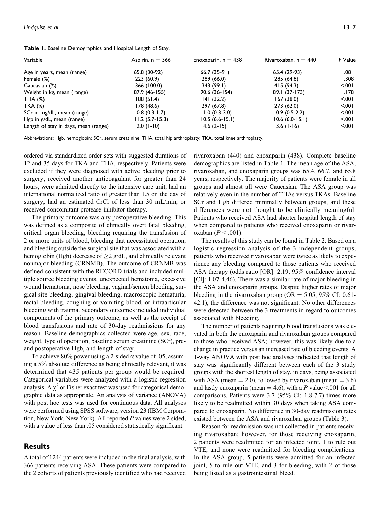Table 1. Baseline Demographics and Hospital Length of Stay.

| Variable                             | Aspirin, $n = 366$ | Enoxaparin, $n = 438$ | Rivaroxaban, $n = 440$ | P Value |
|--------------------------------------|--------------------|-----------------------|------------------------|---------|
| Age in years, mean (range)           | 65.8 (30-92)       | 66.7 (35-91)          | 65.4 (29-93)           | .08     |
| Female (%)                           | 223(60.9)          | 289 (66.0)            | 285 (64.8)             | .308    |
| Caucasian (%)                        | 366 (100.0)        | 343 (99.I)            | 415 (94.3)             | 5001    |
| Weight in kg, mean (range)           | 87.9 (46-155)      | $90.6(36-154)$        | 89.1 (37-173)          | 178.    |
| THA $(%)$                            | 188(51.4)          | 141(32.2)             | 167 (38.0)             | 5001    |
| <b>TKA (%)</b>                       | 178 (48.6)         | 297 (67.8)            | 273 (62.0)             | 5.001   |
| SCr in mg/dL, mean (range)           | $0.8(0.3-1.7)$     | $1.0(0.3-3.0)$        | $0.9(0.5-2.2)$         | 5001    |
| Hgb in g/dL, mean (range)            | $11.2(5.7-15.3)$   | $10.5(6.6-15.1)$      | $10.6(6.0-15.1)$       | 5001    |
| Length of stay in days, mean (range) | $2.0(1-10)$        | $4.6(2-15)$           | $3.6$ (1-16)           | 5001    |

Abbreviations: Hgb, hemoglobin; SCr, serum creatinine; THA, total hip arthroplasty; TKA, total knee arthroplasty.

ordered via standardized order sets with suggested durations of 12 and 35 days for TKA and THA, respectively. Patients were excluded if they were diagnosed with active bleeding prior to surgery, received another anticoagulant for greater than 24 hours, were admitted directly to the intensive care unit, had an international normalized ratio of greater than 1.5 on the day of surgery, had an estimated CrCl of less than 30 mL/min, or received concomitant protease inhibitor therapy.

The primary outcome was any postoperative bleeding. This was defined as a composite of clinically overt fatal bleeding, critical organ bleeding, bleeding requiring the transfusion of 2 or more units of blood, bleeding that necessitated operation, and bleeding outside the surgical site that was associated with a hemoglobin (Hgb) decrease of  $\geq$  2 g/dL, and clinically relevant nonmajor bleeding (CRNMB). The outcome of CRNMB was defined consistent with the RECORD trials and included multiple source bleeding events, unexpected hematoma, excessive wound hematoma, nose bleeding, vaginal/semen bleeding, surgical site bleeding, gingival bleeding, macroscopic hematuria, rectal bleeding, coughing or vomiting blood, or intraarticular bleeding with trauma. Secondary outcomes included individual components of the primary outcome, as well as the receipt of blood transfusions and rate of 30-day readmissions for any reason. Baseline demographics collected were age, sex, race, weight, type of operation, baseline serum creatinine (SCr), preand postoperative Hgb, and length of stay.

To achieve 80% power using a 2-sided  $\alpha$  value of 0.05, assuming a 5% absolute difference as being clinically relevant, it was determined that 435 patients per group would be required. Categorical variables were analyzed with a logistic regression analysis. A  $\chi^2$  or Fisher exact test was used for categorical demographic data as appropriate. An analysis of variance (ANOVA) with post hoc tests was used for continuous data. All analyses were performed using SPSS software, version 23 (IBM Corporation, New York, New York). All reported P values were 2 sided, with a value of less than .05 considered statistically significant.

#### Results

A total of 1244 patients were included in the final analysis, with 366 patients receiving ASA. These patients were compared to the 2 cohorts of patients previously identified who had received rivaroxaban (440) and enoxaparin (438). Complete baseline demographics are listed in Table 1. The mean age of the ASA, rivaroxaban, and enoxaparin groups was 65.4, 66.7, and 65.8 years, respectively. The majority of patients were female in all groups and almost all were Caucasian. The ASA group was relatively even in the number of THAs versus TKAs. Baseline SCr and Hgb differed minimally between groups, and these differences were not thought to be clinically meaningful. Patients who received ASA had shorter hospital length of stay when compared to patients who received enoxaparin or rivaroxaban  $(P < .001)$ .

The results of this study can be found in Table 2. Based on a logistic regression analysis of the 3 independent groups, patients who received rivaroxaban were twice as likely to experience any bleeding compared to those patients who received ASA therapy (odds ratio [OR]: 2.19, 95% confidence interval [CI]: 1.07-4.46). There was a similar rate of major bleeding in the ASA and enoxaparin groups. Despite higher rates of major bleeding in the rivaroxaban group ( $OR = 5.05$ , 95% CI: 0.61-42.1), the difference was not significant. No other differences were detected between the 3 treatments in regard to outcomes associated with bleeding.

The number of patients requiring blood transfusions was elevated in both the enoxaparin and rivaroxaban groups compared to those who received ASA; however, this was likely due to a change in practice versus an increased rate of bleeding events. A 1-way ANOVA with post hoc analyses indicated that length of stay was significantly different between each of the 3 study groups with the shortest length of stay, in days, being associated with ASA (mean  $= 2.0$ ), followed by rivaroxaban (mean  $= 3.6$ ) and lastly enoxaparin (mean  $=$  4.6), with a P value <.001 for all comparisons. Patients were 3.7 (95% CI: 1.8-7.7) times more likely to be readmitted within 30 days when taking ASA compared to enoxaparin. No difference in 30-day readmission rates existed between the ASA and rivaroxaban groups (Table 3).

Reason for readmission was not collected in patients receiving rivaroxaban; however, for those receiving enoxaparin, 2 patients were readmitted for an infected joint, 1 to rule out VTE, and none were readmitted for bleeding complications. In the ASA group, 5 patients were admitted for an infected joint, 5 to rule out VTE, and 3 for bleeding, with 2 of those being listed as a gastrointestinal bleed.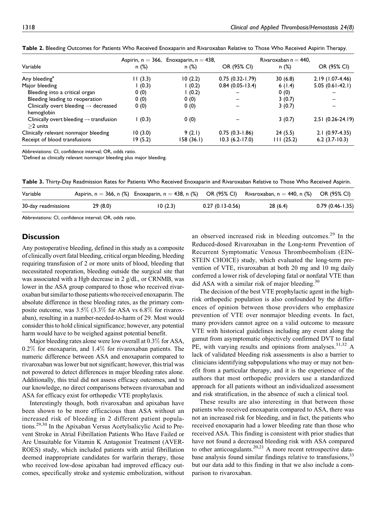| Variable                                                          | n(%)     | Aspirin, $n = 366$ , Enoxaparin, $n = 438$ ,<br>n(%) | OR (95% CI)         | Rivaroxaban n $=$ 440,<br>n(%) | OR (95% CI)       |
|-------------------------------------------------------------------|----------|------------------------------------------------------|---------------------|--------------------------------|-------------------|
| Any bleeding <sup>a</sup>                                         | 11(3.3)  | 10(2.2)                                              | $0.75(0.32 - 1.79)$ | 30(6.8)                        | $2.19(1.07-4.46)$ |
| Major bleeding                                                    | (0.3)    | 1(0.2)                                               | $0.84(0.05-13.4)$   | 6(1.4)                         | $5.05(0.61-42.1)$ |
| Bleeding into a critical organ                                    | 0(0)     | 1(0.2)                                               |                     | 0(0)                           |                   |
| Bleeding leading to reoperation                                   | 0(0)     | 0(0)                                                 |                     | 3(0.7)                         |                   |
| Clinically overt bleeding $\rightarrow$ decreased<br>hemoglobin   | 0(0)     | 0(0)                                                 |                     | 3(0.7)                         |                   |
| Clinically overt bleeding $\rightarrow$ transfusion<br>$>2$ units | (0.3)    | 0(0)                                                 |                     | 3(0.7)                         | 2.51 (0.26-24.19) |
| Clinically relevant nonmajor bleeding                             | 10(3.0)  | 9(2.1)                                               | $0.75(0.3-1.86)$    | 24(5.5)                        | $2.1(0.97-4.35)$  |
| Receipt of blood transfusions                                     | 19 (5.2) | 158 (36.1)                                           | $10.3(6.2-17.0)$    | 111(25.2)                      | $6.2$ (3.7-10.3)  |

Table 2. Bleeding Outcomes for Patients Who Received Enoxaparin and Rivaroxaban Relative to Those Who Received Aspirin Therapy.

Abbreviations: CI, confidence interval; OR, odds ratio.

<sup>a</sup>Defined as clinically relevant nonmajor bleeding plus major bleeding.

Table 3. Thirty-Day Readmission Rates for Patients Who Received Enoxaparin and Rivaroxaban Relative to Those Who Received Aspirin.

| Variable            |         |         |                   | Aspirin, n = 366, n (%) Enoxaparin, n = 438, n (%) OR (95% CI) Rivaroxaban, n = 440, n (%) OR (95% CI) |                     |
|---------------------|---------|---------|-------------------|--------------------------------------------------------------------------------------------------------|---------------------|
| 30-day readmissions | 29(8.0) | 10(2.3) | $0.27(0.13-0.56)$ | 28(6.4)                                                                                                | $0.79(0.46 - 1.35)$ |

Abbreviations: CI, confidence interval; OR, odds ratio.

#### **Discussion**

Any postoperative bleeding, defined in this study as a composite of clinically overt fatal bleeding, critical organ bleeding, bleeding requiring transfusion of 2 or more units of blood, bleeding that necessitated reoperation, bleeding outside the surgical site that was associated with a Hgb decrease in 2 g/dL, or CRNMB, was lower in the ASA group compared to those who received rivaroxaban but similar to those patients who received enoxaparin. The absolute difference in these bleeding rates, as the primary composite outcome, was  $3.5\%$  (3.3% for ASA vs  $6.8\%$  for rivaroxaban), resulting in a number-needed-to-harm of 29. Most would consider this to hold clinical significance; however, any potential harm would have to be weighed against potential benefit.

Major bleeding rates alone were low overall at 0.3% for ASA, 0.2% for enoxaparin, and 1.4% for rivaroxaban patients. The numeric difference between ASA and enoxaparin compared to rivaroxaban was lower but not significant; however, this trial was not powered to detect differences in major bleeding rates alone. Additionally, this trial did not assess efficacy outcomes, and to our knowledge, no direct comparisons between rivaroxaban and ASA for efficacy exist for orthopedic VTE prophylaxis.

Interestingly though, both rivaroxaban and apixaban have been shown to be more efficacious than ASA without an increased risk of bleeding in 2 different patient populations.29,30 In the Apixaban Versus Acetylsalicylic Acid to Prevent Stroke in Atrial Fibrillation Patients Who Have Failed or Are Unsuitable for Vitamin K Antagonist Treatment (AVER-ROES) study, which included patients with atrial fibrillation deemed inappropriate candidates for warfarin therapy, those who received low-dose apixaban had improved efficacy outcomes, specifically stroke and systemic embolization, without

an observed increased risk in bleeding outcomes.<sup>29</sup> In the Reduced-dosed Rivaroxaban in the Long-term Prevention of Recurrent Symptomatic Venous Thromboembolism (EIN-STEIN CHOICE) study, which evaluated the long-term prevention of VTE, rivaroxaban at both 20 mg and 10 mg daily conferred a lower risk of developing fatal or nonfatal VTE than did ASA with a similar risk of major bleeding.<sup>30</sup>

The decision of the best VTE prophylactic agent in the highrisk orthopedic population is also confounded by the differences of opinion between those providers who emphasize prevention of VTE over nonmajor bleeding events. In fact, many providers cannot agree on a valid outcome to measure VTE with historical guidelines including any event along the gamut from asymptomatic objectively confirmed DVT to fatal PE, with varying results and opinions from analyses.<sup>31,32</sup> A lack of validated bleeding risk assessments is also a barrier to clinicians identifying subpopulations who may or may not benefit from a particular therapy, and it is the experience of the authors that most orthopedic providers use a standardized approach for all patients without an individualized assessment and risk stratification, in the absence of such a clinical tool.

These results are also interesting in that between those patients who received enoxaparin compared to ASA, there was not an increased risk for bleeding, and in fact, the patients who received enoxaparin had a lower bleeding rate than those who received ASA. This finding is consistent with prior studies that have not found a decreased bleeding risk with ASA compared to other anticoagulants.<sup>20,21</sup> A more recent retrospective database analysis found similar findings relative to transfusions,<sup>33</sup> but our data add to this finding in that we also include a comparison to rivaroxaban.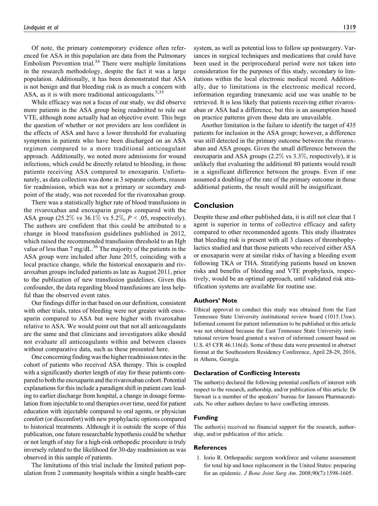Of note, the primary contemporary evidence often referenced for ASA in this population are data from the Pulmonary Embolism Prevention trial. $34$  There were multiple limitations in the research methodology, despite the fact it was a large population. Additionally, it has been demonstrated that ASA is not benign and that bleeding risk is as much a concern with ASA, as it is with more traditional anticoagulants.  $5,35$ 

While efficacy was not a focus of our study, we did observe more patients in the ASA group being readmitted to rule out VTE, although none actually had an objective event. This begs the question of whether or not providers are less confident in the effects of ASA and have a lower threshold for evaluating symptoms in patients who have been discharged on an ASA regimen compared to a more traditional anticoagulant approach. Additionally, we noted more admissions for wound infections, which could be directly related to bleeding, in those patients receiving ASA compared to enoxaparin. Unfortunately, as data collection was done in 3 separate cohorts, reason for readmission, which was not a primary or secondary endpoint of the study, was not recorded for the rivaroxaban group.

There was a statistically higher rate of blood transfusions in the rivaroxaban and enoxaparin groups compared with the ASA group (25.2% vs 36.1% vs 5.2%,  $P < .05$ , respectively). The authors are confident that this could be attributed to a change in blood transfusion guidelines published in 2012, which raised the recommended transfusion threshold to an Hgb value of less than 7 mg/dL. $^{36}$  The majority of the patients in the ASA group were included after June 2015, coinciding with a local practice change, while the historical enoxaparin and rivaroxaban groups included patients as late as August 2011, prior to the publication of new transfusion guidelines. Given this confounder, the data regarding blood transfusions are less helpful than the observed event rates.

Our findings differ in that based on our definition, consistent with other trials, rates of bleeding were not greater with enoxaparin compared to ASA but were higher with rivaroxaban relative to ASA. We would point out that not all anticoagulants are the same and that clinicians and investigators alike should not evaluate all anticoagulants within and between classes without comparative data, such as these presented here.

One concerning finding was the higher readmission rates in the cohort of patients who received ASA therapy. This is coupled with a significantly shorter length of stay for these patients compared to both the enoxaparin and the rivaroxaban cohort. Potential explanations for this include a paradigm shift in patient care leading to earlier discharge from hospital, a change in dosage formulation from injectable to oral therapies over time, need for patient education with injectable compared to oral agents, or physician comfort (or discomfort) with new prophylactic options compared to historical treatments. Although it is outside the scope of this publication, one future researchable hypothesis could be whether or not length of stay for a high-risk orthopedic procedure is truly inversely related to the likelihood for 30-day readmission as was observed in this sample of patients.

The limitations of this trial include the limited patient population from 2 community hospitals within a single health-care

system, as well as potential loss to follow up postsurgery. Variances in surgical techniques and medications that could have been used in the periprocedural period were not taken into consideration for the purposes of this study, secondary to limitations within the local electronic medical record. Additionally, due to limitations in the electronic medical record, information regarding tranexamic acid use was unable to be retrieved. It is less likely that patients receiving either rivaroxaban or ASA had a difference, but this is an assumption based on practice patterns given those data are unavailable.

Another limitation is the failure to identify the target of 435 patients for inclusion in the ASA group; however, a difference was still detected in the primary outcome between the rivaroxaban and ASA groups. Given the small difference between the enoxaparin and ASA groups (2.2% vs 3.3%, respectively), it is unlikely that evaluating the additional 80 patients would result in a significant difference between the groups. Even if one assumed a doubling of the rate of the primary outcome in those additional patients, the result would still be insignificant.

#### Conclusion

Despite these and other published data, it is still not clear that 1 agent is superior in terms of collective efficacy and safety compared to other recommended agents. This study illustrates that bleeding risk is present with all 3 classes of thrombophylactics studied and that those patients who received either ASA or enoxaparin were at similar risks of having a bleeding event following TKA or THA. Stratifying patients based on known risks and benefits of bleeding and VTE prophylaxis, respectively, would be an optimal approach, until validated risk stratification systems are available for routine use.

#### Authors' Note

Ethical approval to conduct this study was obtained from the East Tennessee State University institutional review board (1015.13sw). Informed consent for patient information to be published in this article was not obtained because the East Tennessee State University institutional review board granted a waiver of informed consent based on U.S. 45 CFR 46.116(d). Some of these data were presented in abstract format at the Southeastern Residency Conference, April 28-29, 2016, in Athens, Georgia.

### Declaration of Conflicting Interests

The author(s) declared the following potential conflicts of interest with respect to the research, authorship, and/or publication of this article: Dr Stewart is a member of the speakers' bureau for Janssen Pharmaceuticals. No other authors declare to have conflicting interests.

#### Funding

The author(s) received no financial support for the research, authorship, and/or publication of this article.

#### References

1. Iorio R. Orthopaedic surgeon workforce and volume assessment for total hip and knee replacement in the United States: preparing for an epidemic. J Bone Joint Surg Am. 2008;90(7):1598-1605.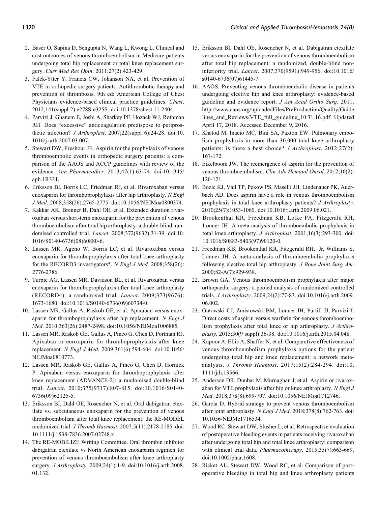- 2. Baser O, Supina D, Sengupta N, Wang L, Kwong L. Clinical and cost outcomes of venous thromboembolism in Medicare patients undergoing total hip replacement or total knee replacement surgery. Curr Med Res Opin. 2011;27(2):423-429.
- 3. Falck-Ytter Y, Francis CW, Johanson NA, et al. Prevention of VTE in orthopedic surgery patients. Antithrombotic therapy and prevention of thrombosis, 9th ed: American College of Chest Physicians evidence-based clinical practice guidelines. Chest. 2012;141(suppl 2):e278S-e325S. doi:10.1378/chest.11-2404.
- 4. Parvizi J, Ghanem E, Joshi A, Sharkey PF, Hozack WJ, Rothman RH. Does "excessive" anticoagulation predispose to periprosthetic infection? J Arthroplast. 2007;22(suppl 6):24-28. doi:10. 1016/j.arth.2007.03.007.
- 5. Stewart DW, Freshour JE. Aspirin for the prophylaxis of venous thromboembolic events in orthopedic surgery patients: a comparison of the AAOS and ACCP guidelines with review of the evidence. Ann Pharmacother. 2013;47(1):63-74. doi:10.1345/ aph.1R331.
- 6. Eriksson BI, Borris LC, Friedman RJ, et al. Rivaroxaban versus enoxaparin for thromboprophylaxis after hip arthroplasty. N Engl J Med. 2008;358(26):2765-2775. doi:10.1056/NEJMoa0800374.
- 7. Kakkar AK, Brenner B, Dahl OE, et al. Extended duration rivaroxaban versus short-term enoxaparin for the prevention of venous thromboembolism after total hip arthroplasty: a double-blind, randomised controlled trial. Lancet. 2008;372(9632):31-39. doi:10. 1016/S0140-6736(08)60880-6.
- 8. Lassen MR, Ageno W, Borris LC, et al. Rivaroxaban versus enoxaparin for thromboprophylaxis after total knee arthroplasty for the RECORD3 investigators\*. N Engl J Med. 2008;358(26): 2776-2786.
- 9. Turpie AG, Lassen MR, Davidson BL, et al. Rivaroxaban versus enoxaparin for thromboprophylaxis after total knee arthroplasty (RECORD4): a randomised trial. Lancet. 2009;373(9676): 1673-1680. doi:10.1016/S0140-6736(09)60734-0.
- 10. Lassen MR, Gallus A, Raskob GE, et al. Apixaban versus enoxaparin for thromboprophylaxis after hip replacement. N Engl J Med. 2010;363(26):2487-2498. doi:10.1056/NEJMoa1006885.
- 11. Lassen MR, Raskob GE, Gallus A, Pineo G, Chen D, Portman RJ. Apixaban or enoxaparin for thromboprophylaxis after knee replacement. N Engl J Med. 2009;361(6):594-604. doi:10.1056/ NEJMoa0810773.
- 12. Lassen MR, Raskob GE, Gallus A, Pineo G, Chen D, Hornick P. Apixaban versus enoxaparin for thromboprophylaxis after knee replacement (ADVANCE-2): a randomised double-blind trial. Lancet. 2010;375(9717):807-815. doi:10.1016/S0140- 6736(09)62125-5.
- 13. Eriksson BI, Dahl OE, Rosencher N, et al. Oral dabigatran etexilate vs. subcutaneous enoxaparin for the prevention of venous thromboembolism after total knee replacement: the RE-MODEL randomized trial. J Thromb Haemost. 2007;5(11):2178-2185. doi: 10.1111/j.1538-7836.2007.02748.x.
- 14. The RE-MOBILIZE Writing Committee. Oral thrombin inhibitor dabigatran etexilate vs North American enoxaparin regimen for prevention of venous thromboembolism after knee arthroplasty surgery. J Arthroplasty. 2009;24(1):1-9. doi:10.1016/j.arth.2008. 01.132.
- 15. Eriksson BI, Dahl OE, Rosencher N, et al. Dabigatran etexilate versus enoxaparin for the prevention of venous thromboembolism after total hip replacement: a randomized, double-blind noninferiority trial. Lancet. 2007;370(9591):949-956. doi:10.1016/ s0140-6736(07)61445-7.
- 16. AAOS. Preventing venous thromboembolic disease in patients undergoing elective hip and knee arthroplasty: evidence-based guideline and evidence report. J Am Acad Ortho Surg. 2011. [http://www.aaos.org/uploadedFiles/PreProduction/Quality/Guide](http://www.aaos.org/uploadedFiles/PreProduction/Quality/Guidelines_and_Reviews/VTE_full_guideline_10.31.16.pdf) [lines\\_and\\_Reviews/VTE\\_full\\_guideline\\_10.31.16.pdf](http://www.aaos.org/uploadedFiles/PreProduction/Quality/Guidelines_and_Reviews/VTE_full_guideline_10.31.16.pdf). Updated April 17, 2018. Accessed December 9, 2016.
- 17. Khatod M, Inacio MC, Bini SA, Paxton EW. Pulmonary embolism prophylaxis in more than 30,000 total knee arthroplasty patients: is there a best choice? J Arthroplast. 2012;27(2): 167-172.
- 18. Eikelboom JW. The reemergence of aspirin for the prevention of venous thromboembolism. Clin Adv Hematol Oncol. 2012;10(2): 120-121.
- 19. Bozic KJ, Vail TP, Pekow PS, Maselli JH, Lindenauer PK, Auerbach AD. Does aspirin have a role in venous thromboembolism prophylaxis in total knee arthroplasty patients? J Arthroplasty. 2010;25(7):1053-1060. doi:10.1016/j.arth.2009.06.021.
- 20. Brookenthal KR, Freedman KB, Lotke PA, Fitzgerald RH, Lonner JH. A meta-analysis of thromboembolic prophylaxis in total knee arthroplasty. J Arthroplast. 2001;16(3):293-300. doi: 10.1016/S0883-5403(97)90120-0.
- 21. Freedman KB, Brookenthal KR, Fitzgerald RH, Jr, Williams S, Lonner JH. A meta-analysis of thromboembolic prophylaxis following elective total hip arthroplasty. J Bone Joint Surg Am. 2000;82-A(7):929-938.
- 22. Brown GA. Venous thromboembolism prophylaxis after major orthopaedic surgery: a pooled analysis of randomized controlled trials. J Arthroplasty. 2009;24(2):77-83. doi:10.1016/j.arth.2009. 06.002.
- 23. Gutowski CJ, Zmistowski BM, Lonner JH, Purtill JJ, Parvizi J. Direct costs of aspirin versus warfarin for venous thromboembolism prophylaxis after total knee or hip arthroplasty. J Arthroplasty. 2015;30(9 suppl):36-38. doi:10.1016/j.arth.2015.04.048.
- 24. Kapoor A, Ellis A, Shaffer N, et al. Comparative effectiveness of venous thromboembolism prophylaxis options for the patient undergoing total hip and knee replacement: a network metaanalysis. J Thromb Haemost. 2017;15(2):284-294. doi:10. 1111/jth.13566.
- 25. Anderson DR, Dunbar M, Murnaghan J, et al. Aspirin or rivaroxaban for VTE prophylaxis after hip or knee arthroplasty. N Engl J Med. 2018;378(8):699-707. doi:10.1056/NEJMoa1712746.
- 26. Garcia D. Hybrid strategy to prevent venous thromboembolism after joint arthroplasty. N Engl J Med. 2018;378(8):762-763. doi: 10.1056/NEJMe1716534.
- 27. Wood RC, Stewart DW, Slusher L, et al. Retrospective evaluation of postoperative bleeding events in patients receiving rivaroxaban after undergoing total hip and total knee arthroplasty: comparison with clinical trial data. Pharmacotherapy. 2015;35(7):663-669. doi:10.1002/phar.1608.
- 28. Ricket AL, Stewart DW, Wood RC, et al. Comparison of postoperative bleeding in total hip and knee arthroplasty patients